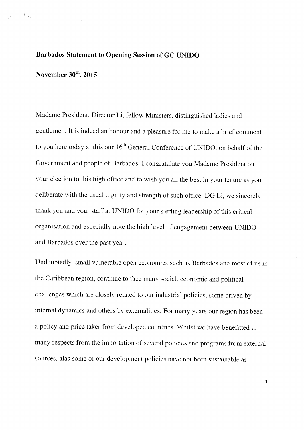## Barbados Statement to Opening Session of GC UNIDO

November  $30<sup>th</sup>$ , 2015

t.

Madame President. Director Li. fellow Ministers, distinguished ladies and gentlemen. it is indeed an honour and <sup>a</sup> <sup>p</sup>leasure for me to make <sup>a</sup> brief comment to you here today at this our  $16^{\text{th}}$  General Conference of UNIDO, on behalf of the Government and people of Barbados. <sup>I</sup> congratulate you Madame President on your election to this high office and to wish you all the best in your tenure as you deliberate with the usual dignity and strength of such office. DG Li, we sincerely thank you and your staff at UNIDO for your sterling leadership of this critical organisation and especially note the high level of engagement between UNIDO and Barbados over the past year.

Undoubtedly, small vulnerable open economies such as Barbados and most of us in the Caribbean region. continue to face many social, economic and political challenges which are closely related to our industrial policies, some driven by internal dynamics and others by externalities. For many years our region has been <sup>a</sup> policy and price taker from developed countries. Whilst we have benefitted in many respects from the importation of several policies and programs from external sources, alas some of our development policies have not been sustainable as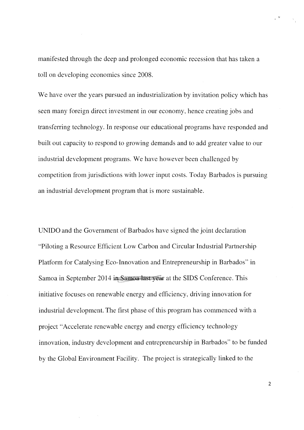manifested through the deep and prolonged economic recession that has taken a toll on developing economies since 2008.

We have over the years pursued an industrialization by invitation policy which has seen many foreign direct investment in our economy, hence creating jobs and transferring technology. In response our educational programs have responded and built out capacity to respond to growing demands and to add greater value to our industrial development programs. We have however been challenged by competition from jurisdictions with lower input costs. Today Barbados is pursuing an industrial development program that is more sustainable.

UNIDO and the Government of Barbados have signed the joint declaration "Piloting a Resource Efficient Low Carbon and Circular Industrial Partnership Platform for Catalysing Eco-Innovation and Entrepreneurship in Barbados" in Samoa in September 2014 in Samoa last year at the SIDS Conference. This initiative focuses on renewable energy and efficiency, driving innovation for industrial development. The first phase of this program has commenced with a project "Accelerate renewable energy and energy efficiency technology innovation, industry development and entrepreneurship in Barbados" to be funded by the Global Environment Facility. The project is strategically linked to the

2

 $\label{eq:zeta} \begin{array}{ccccc} z & \Psi & & & z \\ \end{array}$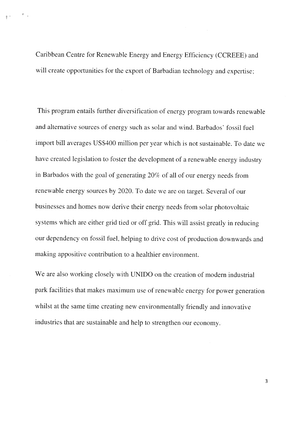Caribbean Centre for Renewable Energy and Energy Efficiency (CCREEE) and will create opportunities for the export of Barbadian technology and expertise;

 $\mathcal{P}=\frac{1}{2}$ 

This program entails further diversification of energy program towards renewable and alternative sources of energy such as solar and wind. Barbados' fossil fuel import bill averages US\$400 million per year which is not sustainable. To date we have created legislation to foster the development of a renewable energy industry in Barbados with the goal of generating 20% of all of our energy needs from renewable energy sources by 2020. To date we are on target. Several of our businesses and homes now derive their energy needs from solar photovoltaic systems which are either grid tied or off grid. This will assist greatly in reducing our dependency on fossil fuel, helping to drive cost of production downwards and making appositive contribution to a healthier environment.

We are also working closely with UNIDO on the creation of modern industrial park facilities that makes maximum use of renewable energy for power generation whilst at the same time creating new environmentally friendly and innovative industries that are sustainable and help to strengthen our economy.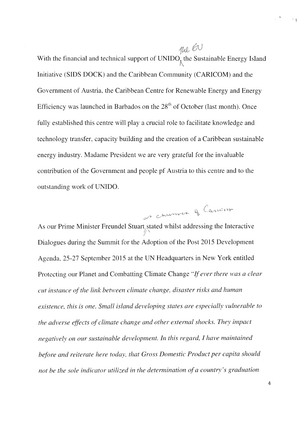rue 60 With the financial and technical support of  $UNIDO<sub>i</sub>$  the Sustainable Energy Island Initiative (SIDS DOCK) and the Caribbean Community (CARICOM) and the Government of Austria, the Caribbean Centre for Renewable Energy and Energy Efficiency was launched in Barbados on the  $28<sup>th</sup>$  of October (last month). Once fully established this centre will play a crucial role to facilitate knowledge and technology transfer, capacity building and the creation of a Caribbean sustainable energy industry. Madame President we are very grateful for the invaluable contribution of the Government and people pf Austria to this centre and to the outstanding work of UNIDO.

g Cancon

is charmer of As our Prime Minister Freundel Stuart stated whilst addressing the Interactive Dialogues during the Summit for the Adoption of the Post 2015 Development Agenda, 25-27 September 2015 at the UN Headquarters in New York entitled Protecting our Planet and Combatting Climate Change "If ever there was a clear cut instance of the link between climate change, disaster risks and human existence, this is one. Small island developing states are especially vulnerable to the adverse effects of climate change and other external shocks. They impact negatively on our sustainable development. In this regard, I have maintained before and reiterate here today, that Gross Domestic Product per capita should not be the sole indicator utilized in the determination of a country's graduation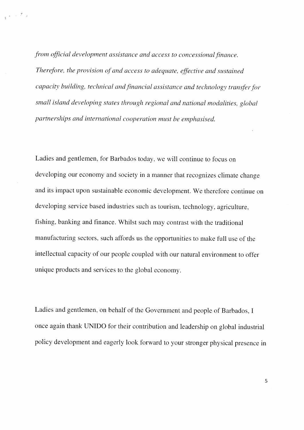from official development assistance and access to concessional finance. Therefore, the provision of and access to adequate, effective and sustained capacity building, technical and financial assistance and technology transfer for small island developing states through regional and national modalities, global partnerships and international cooperation must be emphasised.

 $\mathbb{R}^{(n+1)\times (n+1)}$ 

Ladies and gentlemen, for Barbados today. we will continue to focus on developing our economy and society in <sup>a</sup> manner that recognizes climate change and its impact upon sustainable economic development. We therefore continue on developing service based industries such as tourism, technology, agriculture, fishing. banking and finance. Whilst such may contrast with the traditional manufacturing sectors, such affords us the opportunities to make full use of the intellectual capacity of our people coupled with our natural environment to offer unique products and services to the global economy.

Ladies and gentlemen, on behalf of the Government and people of Barbados, <sup>I</sup> once again thank UNIDO for their contribution and leadership on global industrial policy development and eagerly look forward to your stronger physical presence in